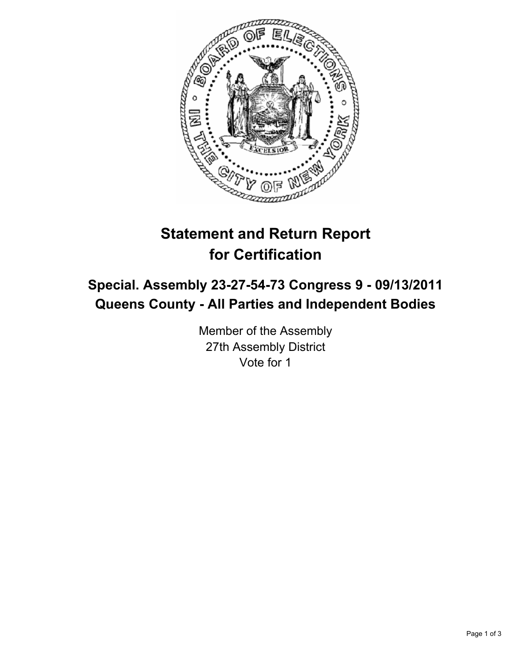

# **Statement and Return Report for Certification**

## **Special. Assembly 23-27-54-73 Congress 9 - 09/13/2011 Queens County - All Parties and Independent Bodies**

Member of the Assembly 27th Assembly District Vote for 1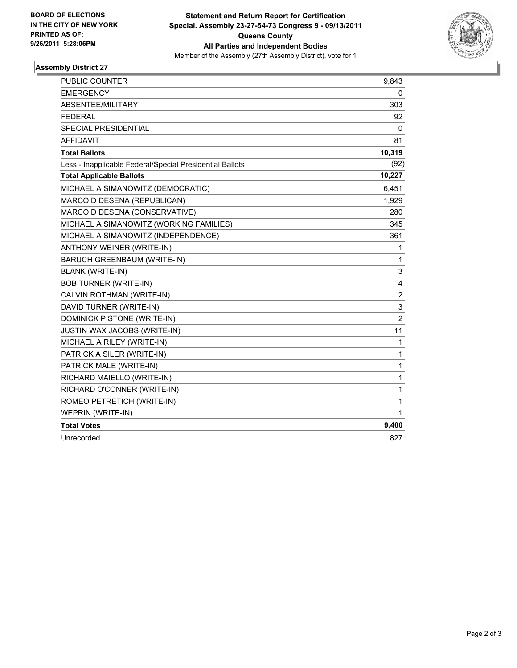

#### **Assembly District 27**

| <b>PUBLIC COUNTER</b>                                    | 9,843          |
|----------------------------------------------------------|----------------|
| <b>EMERGENCY</b>                                         | 0              |
| ABSENTEE/MILITARY                                        | 303            |
| <b>FEDERAL</b>                                           | 92             |
| SPECIAL PRESIDENTIAL                                     | 0              |
| <b>AFFIDAVIT</b>                                         | 81             |
| <b>Total Ballots</b>                                     | 10,319         |
| Less - Inapplicable Federal/Special Presidential Ballots | (92)           |
| <b>Total Applicable Ballots</b>                          | 10,227         |
| MICHAEL A SIMANOWITZ (DEMOCRATIC)                        | 6,451          |
| MARCO D DESENA (REPUBLICAN)                              | 1,929          |
| MARCO D DESENA (CONSERVATIVE)                            | 280            |
| MICHAEL A SIMANOWITZ (WORKING FAMILIES)                  | 345            |
| MICHAEL A SIMANOWITZ (INDEPENDENCE)                      | 361            |
| ANTHONY WEINER (WRITE-IN)                                | 1              |
| <b>BARUCH GREENBAUM (WRITE-IN)</b>                       | 1              |
| <b>BLANK (WRITE-IN)</b>                                  | 3              |
| <b>BOB TURNER (WRITE-IN)</b>                             | 4              |
| CALVIN ROTHMAN (WRITE-IN)                                | 2              |
| DAVID TURNER (WRITE-IN)                                  | 3              |
| DOMINICK P STONE (WRITE-IN)                              | $\overline{2}$ |
| <b>JUSTIN WAX JACOBS (WRITE-IN)</b>                      | 11             |
| MICHAEL A RILEY (WRITE-IN)                               | 1              |
| PATRICK A SILER (WRITE-IN)                               | 1              |
| PATRICK MALE (WRITE-IN)                                  | 1              |
| RICHARD MAIELLO (WRITE-IN)                               | 1              |
| RICHARD O'CONNER (WRITE-IN)                              | 1              |
| ROMEO PETRETICH (WRITE-IN)                               | 1              |
| WEPRIN (WRITE-IN)                                        | 1              |
| <b>Total Votes</b>                                       | 9,400          |
| Unrecorded                                               | 827            |